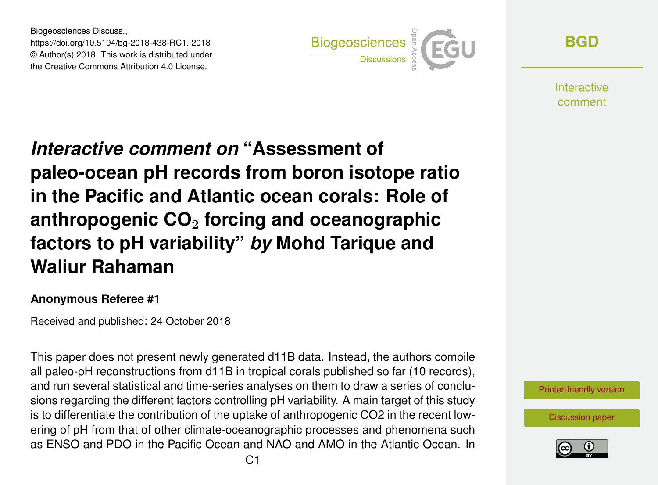Biogeosciences Discuss., https://doi.org/10.5194/bg-2018-438-RC1, 2018 © Author(s) 2018. This work is distributed under the Creative Commons Attribution 4.0 License.



**[BGD](https://www.biogeosciences-discuss.net/)**

**Interactive** comment

# *Interactive comment on* **"Assessment of paleo-ocean pH records from boron isotope ratio in the Pacific and Atlantic ocean corals: Role of anthropogenic CO**<sup>2</sup> **forcing and oceanographic factors to pH variability"** *by* **Mohd Tarique and Waliur Rahaman**

#### **Anonymous Referee #1**

Received and published: 24 October 2018

This paper does not present newly generated d11B data. Instead, the authors compile all paleo-pH reconstructions from d11B in tropical corals published so far (10 records), and run several statistical and time-series analyses on them to draw a series of conclusions regarding the different factors controlling pH variability. A main target of this study is to differentiate the contribution of the uptake of anthropogenic CO2 in the recent lowering of pH from that of other climate-oceanographic processes and phenomena such as ENSO and PDO in the Pacific Ocean and NAO and AMO in the Atlantic Ocean. In



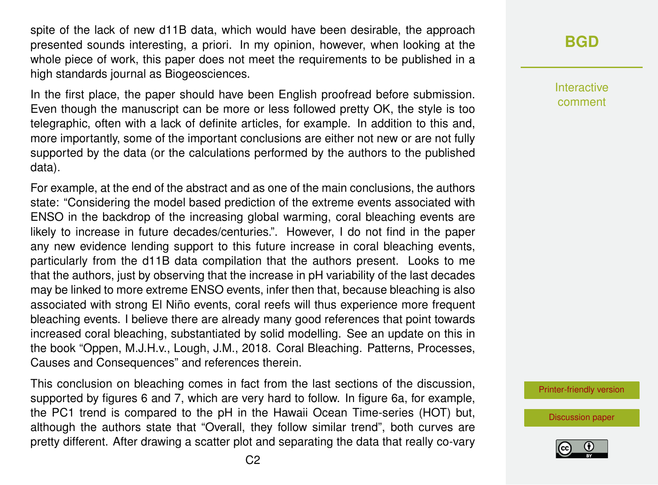spite of the lack of new d11B data, which would have been desirable, the approach presented sounds interesting, a priori. In my opinion, however, when looking at the whole piece of work, this paper does not meet the requirements to be published in a high standards journal as Biogeosciences.

In the first place, the paper should have been English proofread before submission. Even though the manuscript can be more or less followed pretty OK, the style is too telegraphic, often with a lack of definite articles, for example. In addition to this and, more importantly, some of the important conclusions are either not new or are not fully supported by the data (or the calculations performed by the authors to the published data).

For example, at the end of the abstract and as one of the main conclusions, the authors state: "Considering the model based prediction of the extreme events associated with ENSO in the backdrop of the increasing global warming, coral bleaching events are likely to increase in future decades/centuries.". However, I do not find in the paper any new evidence lending support to this future increase in coral bleaching events, particularly from the d11B data compilation that the authors present. Looks to me that the authors, just by observing that the increase in pH variability of the last decades may be linked to more extreme ENSO events, infer then that, because bleaching is also associated with strong El Niño events, coral reefs will thus experience more frequent bleaching events. I believe there are already many good references that point towards increased coral bleaching, substantiated by solid modelling. See an update on this in the book "Oppen, M.J.H.v., Lough, J.M., 2018. Coral Bleaching. Patterns, Processes, Causes and Consequences" and references therein.

This conclusion on bleaching comes in fact from the last sections of the discussion, supported by figures 6 and 7, which are very hard to follow. In figure 6a, for example, the PC1 trend is compared to the pH in the Hawaii Ocean Time-series (HOT) but, although the authors state that "Overall, they follow similar trend", both curves are pretty different. After drawing a scatter plot and separating the data that really co-vary **[BGD](https://www.biogeosciences-discuss.net/)**

Interactive comment

[Printer-friendly version](https://www.biogeosciences-discuss.net/bg-2018-438/bg-2018-438-RC1-print.pdf)

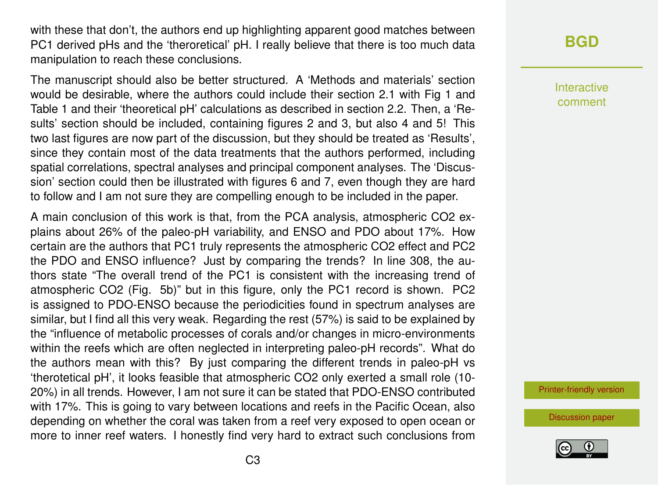with these that don't, the authors end up highlighting apparent good matches between PC1 derived pHs and the 'theroretical' pH. I really believe that there is too much data manipulation to reach these conclusions.

The manuscript should also be better structured. A 'Methods and materials' section would be desirable, where the authors could include their section 2.1 with Fig 1 and Table 1 and their 'theoretical pH' calculations as described in section 2.2. Then, a 'Results' section should be included, containing figures 2 and 3, but also 4 and 5! This two last figures are now part of the discussion, but they should be treated as 'Results', since they contain most of the data treatments that the authors performed, including spatial correlations, spectral analyses and principal component analyses. The 'Discussion' section could then be illustrated with figures 6 and 7, even though they are hard to follow and I am not sure they are compelling enough to be included in the paper.

A main conclusion of this work is that, from the PCA analysis, atmospheric CO2 explains about 26% of the paleo-pH variability, and ENSO and PDO about 17%. How certain are the authors that PC1 truly represents the atmospheric CO2 effect and PC2 the PDO and ENSO influence? Just by comparing the trends? In line 308, the authors state "The overall trend of the PC1 is consistent with the increasing trend of atmospheric CO2 (Fig. 5b)" but in this figure, only the PC1 record is shown. PC2 is assigned to PDO-ENSO because the periodicities found in spectrum analyses are similar, but I find all this very weak. Regarding the rest (57%) is said to be explained by the "influence of metabolic processes of corals and/or changes in micro-environments within the reefs which are often neglected in interpreting paleo-pH records". What do the authors mean with this? By just comparing the different trends in paleo-pH vs 'therotetical pH', it looks feasible that atmospheric CO2 only exerted a small role (10- 20%) in all trends. However, I am not sure it can be stated that PDO-ENSO contributed with 17%. This is going to vary between locations and reefs in the Pacific Ocean, also depending on whether the coral was taken from a reef very exposed to open ocean or more to inner reef waters. I honestly find very hard to extract such conclusions from

## **[BGD](https://www.biogeosciences-discuss.net/)**

Interactive comment

[Printer-friendly version](https://www.biogeosciences-discuss.net/bg-2018-438/bg-2018-438-RC1-print.pdf)

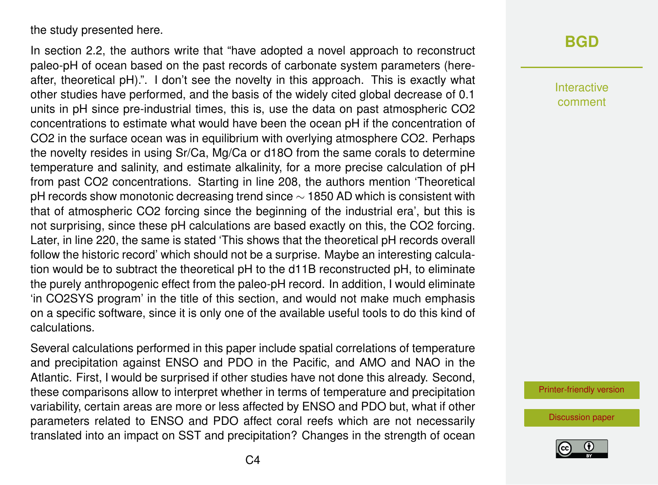the study presented here.

In section 2.2, the authors write that "have adopted a novel approach to reconstruct paleo-pH of ocean based on the past records of carbonate system parameters (hereafter, theoretical pH).". I don't see the novelty in this approach. This is exactly what other studies have performed, and the basis of the widely cited global decrease of 0.1 units in pH since pre-industrial times, this is, use the data on past atmospheric CO2 concentrations to estimate what would have been the ocean pH if the concentration of CO2 in the surface ocean was in equilibrium with overlying atmosphere CO2. Perhaps the novelty resides in using Sr/Ca, Mg/Ca or d18O from the same corals to determine temperature and salinity, and estimate alkalinity, for a more precise calculation of pH from past CO2 concentrations. Starting in line 208, the authors mention 'Theoretical pH records show monotonic decreasing trend since  $\sim$  1850 AD which is consistent with that of atmospheric CO2 forcing since the beginning of the industrial era', but this is not surprising, since these pH calculations are based exactly on this, the CO2 forcing. Later, in line 220, the same is stated 'This shows that the theoretical pH records overall follow the historic record' which should not be a surprise. Maybe an interesting calculation would be to subtract the theoretical pH to the d11B reconstructed pH, to eliminate the purely anthropogenic effect from the paleo-pH record. In addition, I would eliminate 'in CO2SYS program' in the title of this section, and would not make much emphasis on a specific software, since it is only one of the available useful tools to do this kind of calculations.

Several calculations performed in this paper include spatial correlations of temperature and precipitation against ENSO and PDO in the Pacific, and AMO and NAO in the Atlantic. First, I would be surprised if other studies have not done this already. Second, these comparisons allow to interpret whether in terms of temperature and precipitation variability, certain areas are more or less affected by ENSO and PDO but, what if other parameters related to ENSO and PDO affect coral reefs which are not necessarily translated into an impact on SST and precipitation? Changes in the strength of ocean

#### **[BGD](https://www.biogeosciences-discuss.net/)**

Interactive comment

[Printer-friendly version](https://www.biogeosciences-discuss.net/bg-2018-438/bg-2018-438-RC1-print.pdf)

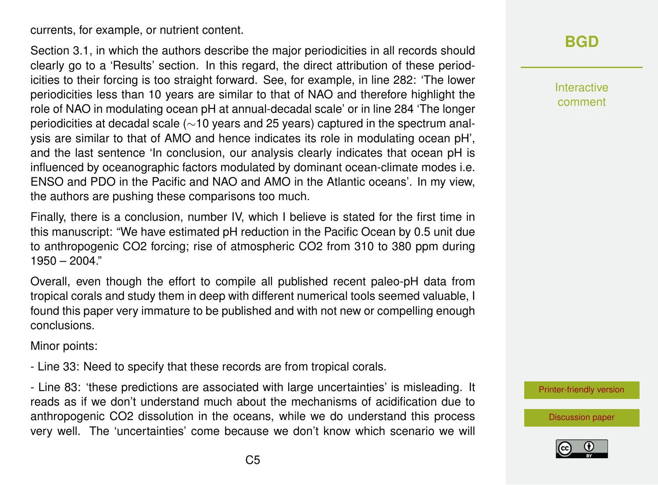currents, for example, or nutrient content.

Section 3.1, in which the authors describe the major periodicities in all records should clearly go to a 'Results' section. In this regard, the direct attribution of these periodicities to their forcing is too straight forward. See, for example, in line 282: 'The lower periodicities less than 10 years are similar to that of NAO and therefore highlight the role of NAO in modulating ocean pH at annual-decadal scale' or in line 284 'The longer periodicities at decadal scale (∼10 years and 25 years) captured in the spectrum analysis are similar to that of AMO and hence indicates its role in modulating ocean pH', and the last sentence 'In conclusion, our analysis clearly indicates that ocean pH is influenced by oceanographic factors modulated by dominant ocean-climate modes i.e. ENSO and PDO in the Pacific and NAO and AMO in the Atlantic oceans'. In my view, the authors are pushing these comparisons too much.

Finally, there is a conclusion, number IV, which I believe is stated for the first time in this manuscript: "We have estimated pH reduction in the Pacific Ocean by 0.5 unit due to anthropogenic CO2 forcing; rise of atmospheric CO2 from 310 to 380 ppm during 1950 – 2004."

Overall, even though the effort to compile all published recent paleo-pH data from tropical corals and study them in deep with different numerical tools seemed valuable, I found this paper very immature to be published and with not new or compelling enough conclusions.

Minor points:

- Line 33: Need to specify that these records are from tropical corals.

- Line 83: 'these predictions are associated with large uncertainties' is misleading. It reads as if we don't understand much about the mechanisms of acidification due to anthropogenic CO2 dissolution in the oceans, while we do understand this process very well. The 'uncertainties' come because we don't know which scenario we will

## **[BGD](https://www.biogeosciences-discuss.net/)**

Interactive comment

[Printer-friendly version](https://www.biogeosciences-discuss.net/bg-2018-438/bg-2018-438-RC1-print.pdf)